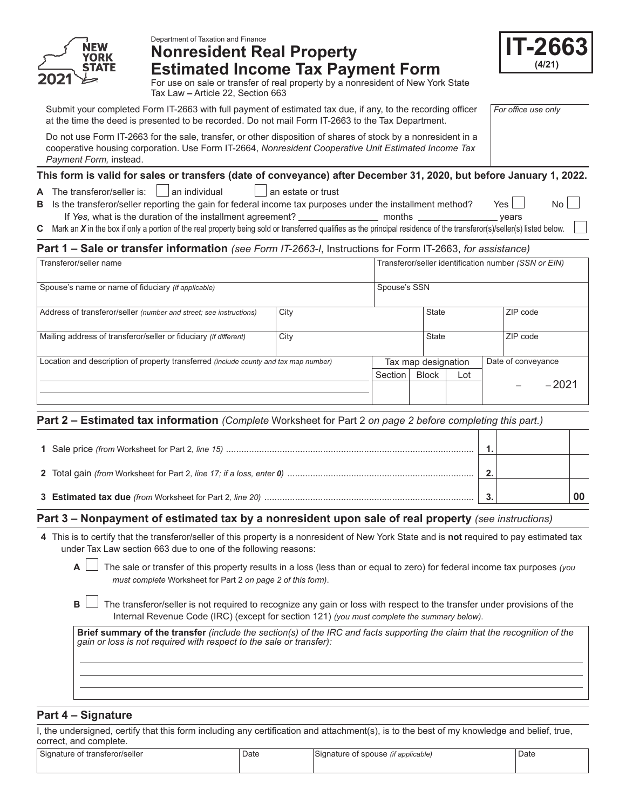

# Department of Taxation and Finance **Nonresident Real Property Estimated Income Tax Payment Form**



*For office use only*

For use on sale or transfer of real property by a nonresident of New York State Tax Law **–** Article 22, Section 663

Submit your completed Form IT-2663 with full payment of estimated tax due, if any, to the recording officer at the time the deed is presented to be recorded. Do not mail Form IT-2663 to the Tax Department.

Do not use Form IT-2663 for the sale, transfer, or other disposition of shares of stock by a nonresident in a cooperative housing corporation. Use Form IT-2664, *Nonresident Cooperative Unit Estimated Income Tax Payment Form,* instead.

# **This form is valid for sales or transfers (date of conveyance) after December 31, 2020, but before January 1, 2022.**

**A** The transferor/seller is:  $\Box$  an individual  $\Box$  an estate or trust

**B** Is the transferor/seller reporting the gain for federal income tax purposes under the installment method? Yes If *Yes,* what is the duration of the installment agreement? months years

**C** Mark an *X* in the box if only a portion of the real property being sold or transferred qualifies as the principal residence of the transferor(s)/seller(s) listed below.

# **Part 1 – Sale or transfer information** *(see Form IT-2663-I*, Instructions for Form IT-2663, *for assistance)*

| Transferor/seller name                                                                      |      |         | Transferor/seller identification number (SSN or EIN) |       |  |                    |         |  |
|---------------------------------------------------------------------------------------------|------|---------|------------------------------------------------------|-------|--|--------------------|---------|--|
| Spouse's name or name of fiduciary (if applicable)                                          |      |         | Spouse's SSN                                         |       |  |                    |         |  |
| Address of transferor/seller (number and street; see instructions)                          | City |         |                                                      | State |  | ZIP code           |         |  |
| Mailing address of transferor/seller or fiduciary (if different)                            | City |         | State                                                |       |  | ZIP code           |         |  |
| Location and description of property transferred <i>(include county and tax map number)</i> |      |         | Tax map designation                                  |       |  | Date of conveyance |         |  |
|                                                                                             |      | Section | <b>Block</b>                                         | Lot   |  |                    |         |  |
|                                                                                             |      |         |                                                      |       |  |                    | $-2021$ |  |

# **Part 2 – Estimated tax information** *(Complete* Worksheet for Part 2 *on page 2 before completing this part.)*

# **Part 3 – Nonpayment of estimated tax by a nonresident upon sale of real property** *(see instructions)*

- **4** This is to certify that the transferor/seller of this property is a nonresident of New York State and is **not** required to pay estimated tax under Tax Law section 663 due to one of the following reasons:
	- **A** The sale or transfer of this property results in a loss (less than or equal to zero) for federal income tax purposes *(you must complete* Worksheet for Part 2 *on page 2 of this form)*.
	- **B**  $\Box$  The transferor/seller is not required to recognize any gain or loss with respect to the transfer under provisions of the Internal Revenue Code (IRC) (except for section 121) *(you must complete the summary below)*.

**Brief summary of the transfer** *(include the section(s) of the IRC and facts supporting the claim that the recognition of the gain or loss is not required with respect to the sale or transfer):*

# **Part 4 – Signature**

I, the undersigned, certify that this form including any certification and attachment(s), is to the best of my knowledge and belief, true, correct, and complete.

| $\sim$<br>l Signature of transferor/seller_ | Date | ~<br>Signature of spouse<br><i>(if applicable)</i> | Date |
|---------------------------------------------|------|----------------------------------------------------|------|
|                                             |      |                                                    |      |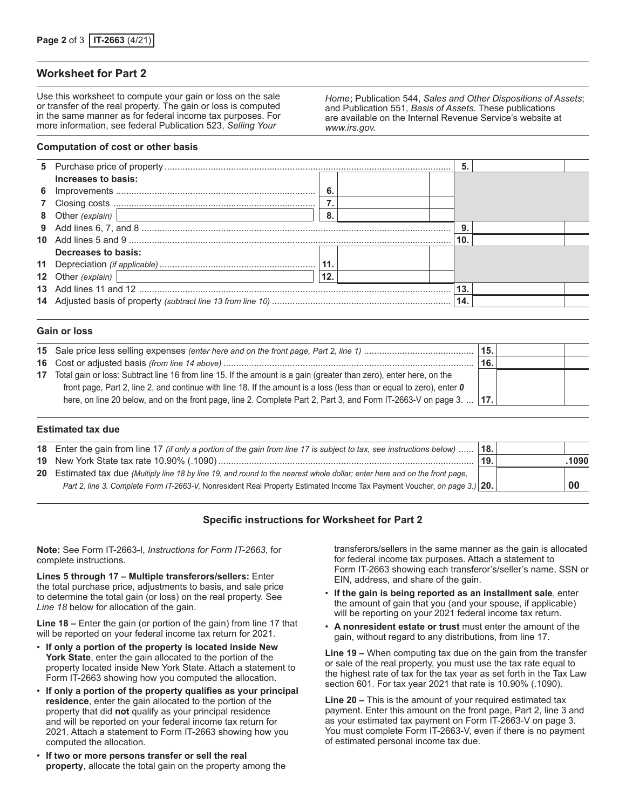## **Worksheet for Part 2**

Use this worksheet to compute your gain or loss on the sale or transfer of the real property. The gain or loss is computed in the same manner as for federal income tax purposes. For more information, see federal Publication 523, *Selling Your* 

*Home*; Publication 544, *Sales and Other Dispositions of Assets*; and Publication 551, *Basis of Assets*. These publications are available on the Internal Revenue Service's website at *www.irs.gov.*

#### **Computation of cost or other basis**

|                                                                                                              |     |  | 5.  |  |
|--------------------------------------------------------------------------------------------------------------|-----|--|-----|--|
| Increases to basis:                                                                                          |     |  |     |  |
|                                                                                                              | - 6 |  |     |  |
|                                                                                                              |     |  |     |  |
| 8 Other (explain)   2000   2000   2010   2010   2010   2010   2010   2010   2010   2010   2010   2010   2010 | 8.  |  |     |  |
|                                                                                                              |     |  |     |  |
|                                                                                                              |     |  | 10. |  |
| Decreases to basis:                                                                                          |     |  |     |  |
|                                                                                                              | 11. |  |     |  |
| 12 Other (explain)<br><u> 1989 - Andrea Station, amerikansk politik (</u>                                    | 12. |  |     |  |
|                                                                                                              |     |  |     |  |
|                                                                                                              |     |  | 14. |  |
|                                                                                                              |     |  |     |  |

#### **Gain or loss**

|                                                                                                                       | 15.   |  |
|-----------------------------------------------------------------------------------------------------------------------|-------|--|
|                                                                                                                       | ່ 16. |  |
| 17 Total gain or loss: Subtract line 16 from line 15. If the amount is a gain (greater than zero), enter here, on the |       |  |
| front page, Part 2, line 2, and continue with line 18. If the amount is a loss (less than or equal to zero), enter 0  |       |  |
| here, on line 20 below, and on the front page, line 2. Complete Part 2, Part 3, and Form IT-2663-V on page 3.    17.  |       |  |
|                                                                                                                       |       |  |

#### **Estimated tax due**

| 18. Enter the gain from line 17 (if only a portion of the gain from line 17 is subject to tax, see instructions below)  18. |                |      |
|-----------------------------------------------------------------------------------------------------------------------------|----------------|------|
|                                                                                                                             | $^{\circ}$ 19. | 1090 |
| 20 Estimated tax due (Multiply line 18 by line 19, and round to the nearest whole dollar; enter here and on the front page, |                |      |
| Part 2, line 3. Complete Form IT-2663-V, Nonresident Real Property Estimated Income Tax Payment Voucher, on page 3.) 20.    |                | -00  |

## **Specific instructions for Worksheet for Part 2**

**Note:** See Form IT-2663-I, *Instructions for Form IT-2663*, for complete instructions.

**Lines 5 through 17 – Multiple transferors/sellers:** Enter the total purchase price, adjustments to basis, and sale price to determine the total gain (or loss) on the real property. See *Line 18* below for allocation of the gain.

**Line 18 –** Enter the gain (or portion of the gain) from line 17 that will be reported on your federal income tax return for 2021.

- **If only a portion of the property is located inside New York State**, enter the gain allocated to the portion of the property located inside New York State. Attach a statement to Form IT-2663 showing how you computed the allocation.
- **If only a portion of the property qualifies as your principal residence**, enter the gain allocated to the portion of the property that did **not** qualify as your principal residence and will be reported on your federal income tax return for 2021. Attach a statement to Form IT-2663 showing how you computed the allocation.
- **If two or more persons transfer or sell the real property**, allocate the total gain on the property among the

transferors/sellers in the same manner as the gain is allocated for federal income tax purposes. Attach a statement to Form IT-2663 showing each transferor's/seller's name, SSN or EIN, address, and share of the gain.

- **If the gain is being reported as an installment sale**, enter the amount of gain that you (and your spouse, if applicable) will be reporting on your 2021 federal income tax return.
- **A nonresident estate or trust** must enter the amount of the gain, without regard to any distributions, from line 17.

**Line 19 –** When computing tax due on the gain from the transfer or sale of the real property, you must use the tax rate equal to the highest rate of tax for the tax year as set forth in the Tax Law section 601. For tax year 2021 that rate is 10.90% (.1090).

**Line 20 –** This is the amount of your required estimated tax payment. Enter this amount on the front page, Part 2, line 3 and as your estimated tax payment on Form IT-2663-V on page 3. You must complete Form IT‑2663‑V, even if there is no payment of estimated personal income tax due.